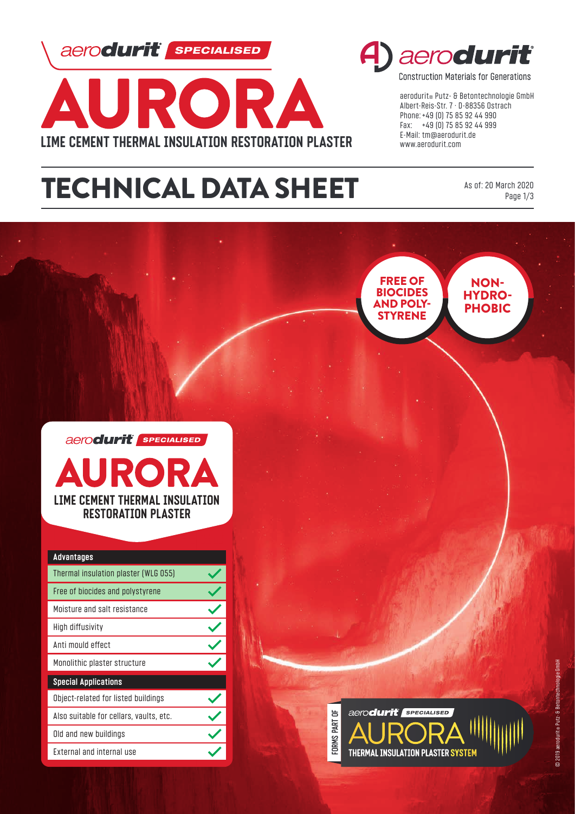aerodurit **SPECIALISED** 



# TECHNICAL DATA SHEET



**Construction Materials for Generations** 

aerodurit® Putz- & Betontechnologie GmbH Albert-Reis-Str. 7 · D-88356 Ostrach Phone: +49 (0) 75 85 92 44 990 Fax: +49 (0) 75 85 92 44 999 E-Mail: tm@aerodurit.de www.aerodurit.com

> As of: 20 March 2020 Page 1/3

NON-HYDRO-PHOBIC

FREE OF **BIOCIDES**<br>AND POLY-**STYRENE** 





| <b>Advantages</b>                       |  |
|-----------------------------------------|--|
| Thermal insulation plaster (WLG 055)    |  |
| Free of biocides and polystyrene        |  |
| Moisture and salt resistance            |  |
| High diffusivity                        |  |
| Anti mould effect                       |  |
| Monolithic plaster structure            |  |
| <b>Special Applications</b>             |  |
| Object-related for listed buildings     |  |
| Also suitable for cellars, vaults, etc. |  |
| Old and new buildings                   |  |
| <b>External and internal use</b>        |  |

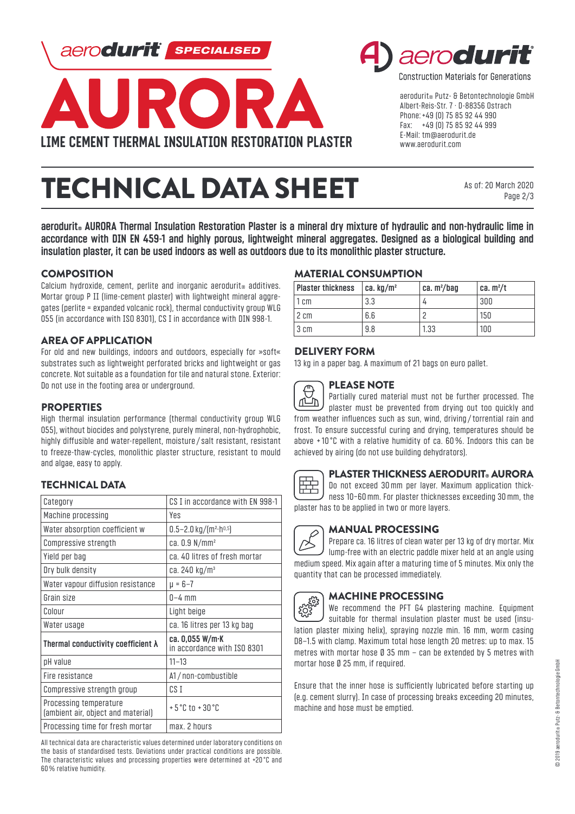aerodurit | **SPECIALISED** 





**Construction Materials for Generations** 

aerodurit® Putz- & Betontechnologie GmbH Albert-Reis-Str. 7 · D-88356 Ostrach Phone: +49 (0) 75 85 92 44 990 Fax: +49 (0) 75 85 92 44 999 E-Mail: tm@aerodurit.de www.aerodurit.com

# TECHNICAL DATA SHEET

As of: 20 March 2020 Page 2/3

aerodurit<sup>®</sup> AURORA Thermal Insulation Restoration Plaster is a mineral dry mixture of hydraulic and non-hydraulic lime in **accordance with DIN EN 459-1 and highly porous, lightweight mineral aggregates. Designed as a biological building and insulation plaster, it can be used indoors as well as outdoors due to its monolithic plaster structure.**

## **COMPOSITION**

Calcium hydroxide, cement, perlite and inorganic aerodurit<sup>®</sup> additives. Mortar group P II (lime-cement plaster) with lightweight mineral aggregates (perlite = expanded volcanic rock), thermal conductivity group WLG 055 (in accordance with ISO 8301), CS I in accordance with DIN 998-1.

### AREA OF APPLICATION

For old and new buildings, indoors and outdoors, especially for »soft« substrates such as lightweight perforated bricks and lightweight or gas concrete. Not suitable as a foundation for tile and natural stone. Exterior: Do not use in the footing area or underground.

#### **PROPERTIES**

High thermal insulation performance (thermal conductivity group WLG 055), without biocides and polystyrene, purely mineral, non-hydrophobic, highly diffusible and water-repellent, moisture / salt resistant, resistant to freeze-thaw-cycles, monolithic plaster structure, resistant to mould and algae, easy to apply.

### TECHNICAL DATA

| Category                                                     | CS I in accordance with EN 998-1                   |
|--------------------------------------------------------------|----------------------------------------------------|
| Machine processing                                           | Yes                                                |
| Water absorption coefficient w                               | $0.5 - 2.0$ kg/(m <sup>2</sup> ·h <sup>0,5</sup> ) |
| Compressive strength                                         | ca. 0.9 N/mm <sup>2</sup>                          |
| Yield per bag                                                | ca. 40 litres of fresh mortar                      |
| Dry bulk density                                             | ca. 240 kg/m <sup>3</sup>                          |
| Water vapour diffusion resistance                            | ш = 6–7                                            |
| Grain size                                                   | $0-4$ mm                                           |
| Colour                                                       | Light beige                                        |
| Water usage                                                  | ca. 16 litres per 13 kg bag                        |
| Thermal conductivity coefficient $\lambda$                   | ca. 0,055 W/m·K<br>in accordance with ISO 8301     |
| pH value                                                     | $11 - 13$                                          |
| Fire resistance                                              | A1/non-combustible                                 |
| Compressive strength group                                   | CS I                                               |
| Processing temperature<br>(ambient air, object and material) | $+5^{\circ}$ C to $+30^{\circ}$ C                  |
| Processing time for fresh mortar                             | max. 2 hours                                       |

All technical data are characteristic values determined under laboratory conditions on the basis of standardised tests. Deviations under practical conditions are possible. The characteristic values and processing properties were determined at +20 °C and 60% relative humidity.

# MATERIAL CONSUMPTION

| <b>Plaster thickness</b> | ca. kg/m² | ca. $m^2/b$ aq | ca. m²/t |
|--------------------------|-----------|----------------|----------|
| 1 cm                     | 3.3       |                | 300      |
| 2 cm                     | 6.6       |                | 150      |
| 3 cm                     | 9.8       | 1.33           | 100      |

### DELIVERY FORM

13 kg in a paper bag. A maximum of 21 bags on euro pallet.

# PLEASE NOTE

⊏ Partially cured material must not be further processed. The ∩∟ّ\∩ plaster must be prevented from drying out too quickly and from weather influences such as sun, wind, driving /torrential rain and frost. To ensure successful curing and drying, temperatures should be above + 10 °C with a relative humidity of ca. 60%. Indoors this can be achieved by airing (do not use building dehydrators).



#### PLASTER THICKNESS AERODURIT® AURORA

Do not exceed 30mm per layer. Maximum application thickness 10−60mm. For plaster thicknesses exceeding 30mm, the plaster has to be applied in two or more layers.

### MANUAL PROCESSING

Prepare ca. 16 litres of clean water per 13 kg of dry mortar. Mix lump-free with an electric paddle mixer held at an angle using medium speed. Mix again after a maturing time of 5 minutes. Mix only the quantity that can be processed immediately.

### MACHINE PROCESSING

**ECT-2533** We recommend the PFT G4 plastering machine. Equipment suitable for thermal insulation plaster must be used (insulation plaster mixing helix), spraying nozzle min. 16 mm, worm casing D8–1.5 with clamp. Maximum total hose length 20 metres: up to max. 15 metres with mortar hose Ø 35 mm – can be extended by 5 metres with mortar hose Ø 25 mm, if required.

Ensure that the inner hose is sufficiently lubricated before starting up (e.g. cement slurry). In case of processing breaks exceeding 20 minutes, machine and hose must be emptied.